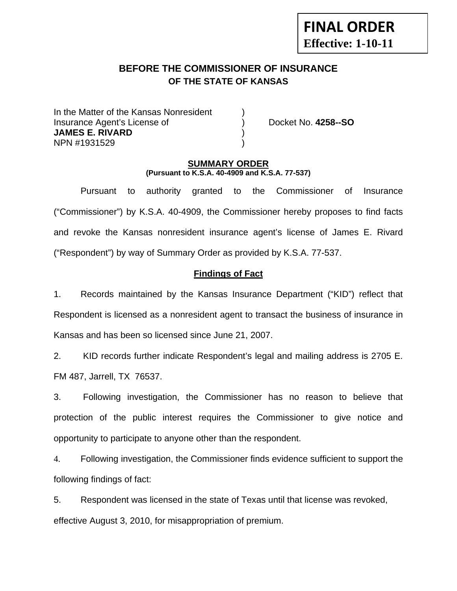# **FINAL ORDER Effective: 1-10-11**

# **BEFORE THE COMMISSIONER OF INSURANCE OF THE STATE OF KANSAS**

In the Matter of the Kansas Nonresident Insurance Agent's License of ) Docket No. **4258--SO JAMES E. RIVARD** ) NPN #1931529 )

## **SUMMARY ORDER (Pursuant to K.S.A. 40-4909 and K.S.A. 77-537)**

 Pursuant to authority granted to the Commissioner of Insurance ("Commissioner") by K.S.A. 40-4909, the Commissioner hereby proposes to find facts and revoke the Kansas nonresident insurance agent's license of James E. Rivard ("Respondent") by way of Summary Order as provided by K.S.A. 77-537.

# **Findings of Fact**

1. Records maintained by the Kansas Insurance Department ("KID") reflect that Respondent is licensed as a nonresident agent to transact the business of insurance in Kansas and has been so licensed since June 21, 2007.

2. KID records further indicate Respondent's legal and mailing address is 2705 E. FM 487, Jarrell, TX 76537.

3. Following investigation, the Commissioner has no reason to believe that protection of the public interest requires the Commissioner to give notice and opportunity to participate to anyone other than the respondent.

4. Following investigation, the Commissioner finds evidence sufficient to support the following findings of fact:

5. Respondent was licensed in the state of Texas until that license was revoked, effective August 3, 2010, for misappropriation of premium.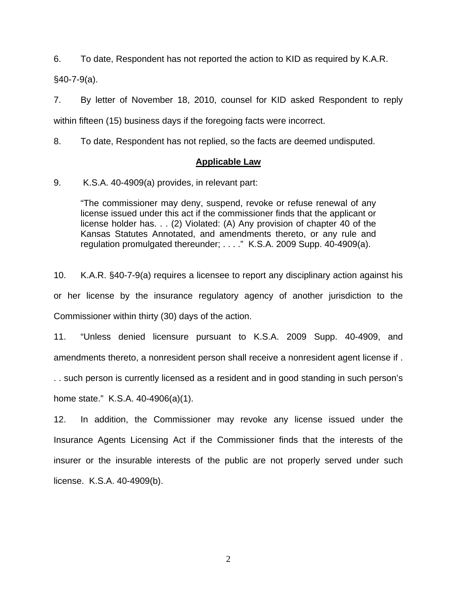6. To date, Respondent has not reported the action to KID as required by K.A.R.

§40-7-9(a).

7. By letter of November 18, 2010, counsel for KID asked Respondent to reply within fifteen (15) business days if the foregoing facts were incorrect.

8. To date, Respondent has not replied, so the facts are deemed undisputed.

## **Applicable Law**

9. K.S.A. 40-4909(a) provides, in relevant part:

"The commissioner may deny, suspend, revoke or refuse renewal of any license issued under this act if the commissioner finds that the applicant or license holder has. . . (2) Violated: (A) Any provision of chapter 40 of the Kansas Statutes Annotated, and amendments thereto, or any rule and regulation promulgated thereunder; . . . ." K.S.A. 2009 Supp. 40-4909(a).

10. K.A.R. §40-7-9(a) requires a licensee to report any disciplinary action against his or her license by the insurance regulatory agency of another jurisdiction to the Commissioner within thirty (30) days of the action.

11. "Unless denied licensure pursuant to K.S.A. 2009 Supp. 40-4909, and amendments thereto, a nonresident person shall receive a nonresident agent license if .

. . such person is currently licensed as a resident and in good standing in such person's home state." K.S.A. 40-4906(a)(1).

12. In addition, the Commissioner may revoke any license issued under the Insurance Agents Licensing Act if the Commissioner finds that the interests of the insurer or the insurable interests of the public are not properly served under such license. K.S.A. 40-4909(b).

2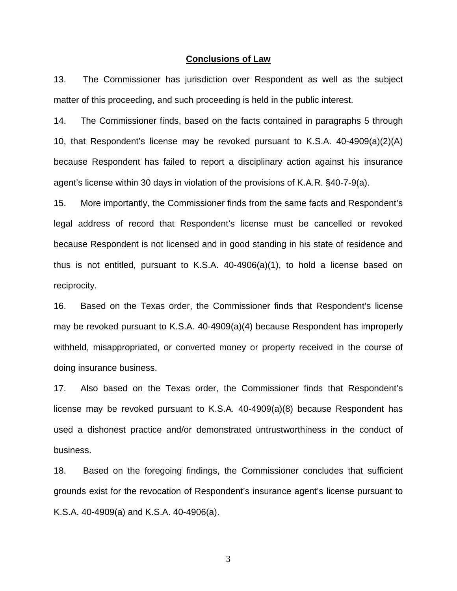#### **Conclusions of Law**

13. The Commissioner has jurisdiction over Respondent as well as the subject matter of this proceeding, and such proceeding is held in the public interest.

14. The Commissioner finds, based on the facts contained in paragraphs 5 through 10, that Respondent's license may be revoked pursuant to K.S.A. 40-4909(a)(2)(A) because Respondent has failed to report a disciplinary action against his insurance agent's license within 30 days in violation of the provisions of K.A.R. §40-7-9(a).

15. More importantly, the Commissioner finds from the same facts and Respondent's legal address of record that Respondent's license must be cancelled or revoked because Respondent is not licensed and in good standing in his state of residence and thus is not entitled, pursuant to K.S.A. 40-4906(a)(1), to hold a license based on reciprocity.

16. Based on the Texas order, the Commissioner finds that Respondent's license may be revoked pursuant to K.S.A. 40-4909(a)(4) because Respondent has improperly withheld, misappropriated, or converted money or property received in the course of doing insurance business.

17. Also based on the Texas order, the Commissioner finds that Respondent's license may be revoked pursuant to K.S.A. 40-4909(a)(8) because Respondent has used a dishonest practice and/or demonstrated untrustworthiness in the conduct of business.

18. Based on the foregoing findings, the Commissioner concludes that sufficient grounds exist for the revocation of Respondent's insurance agent's license pursuant to K.S.A. 40-4909(a) and K.S.A. 40-4906(a).

3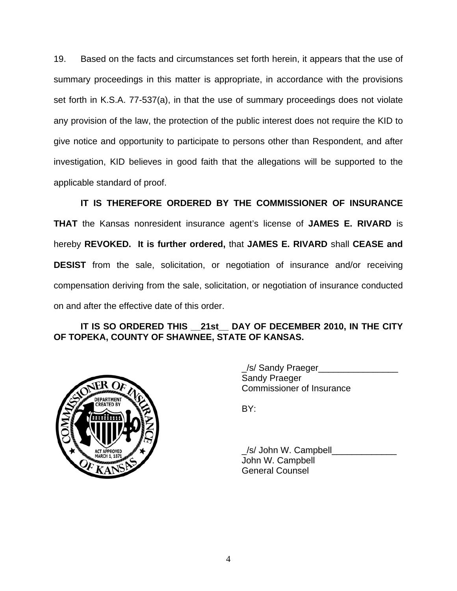19. Based on the facts and circumstances set forth herein, it appears that the use of summary proceedings in this matter is appropriate, in accordance with the provisions set forth in K.S.A. 77-537(a), in that the use of summary proceedings does not violate any provision of the law, the protection of the public interest does not require the KID to give notice and opportunity to participate to persons other than Respondent, and after investigation, KID believes in good faith that the allegations will be supported to the applicable standard of proof.

 **IT IS THEREFORE ORDERED BY THE COMMISSIONER OF INSURANCE THAT** the Kansas nonresident insurance agent's license of **JAMES E. RIVARD** is hereby **REVOKED. It is further ordered,** that **JAMES E. RIVARD** shall **CEASE and DESIST** from the sale, solicitation, or negotiation of insurance and/or receiving compensation deriving from the sale, solicitation, or negotiation of insurance conducted on and after the effective date of this order.

# **IT IS SO ORDERED THIS \_\_21st\_\_ DAY OF DECEMBER 2010, IN THE CITY OF TOPEKA, COUNTY OF SHAWNEE, STATE OF KANSAS.**



 \_/s/ Sandy Praeger\_\_\_\_\_\_\_\_\_\_\_\_\_\_\_\_ Sandy Praeger Commissioner of Insurance

/s/ John W. Campbell John W. Campbell General Counsel